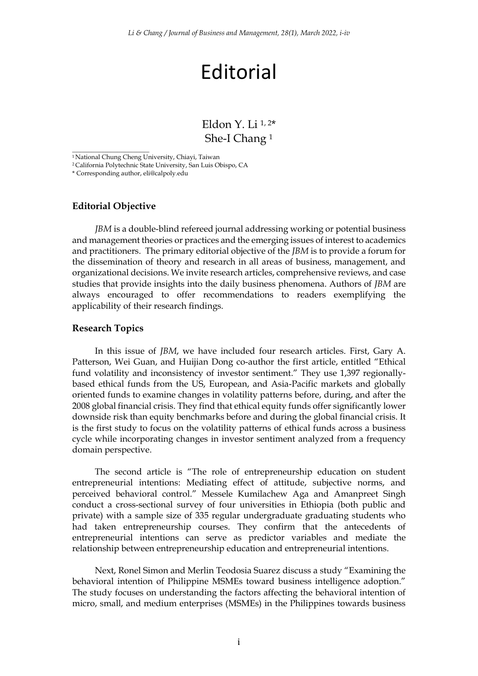# Editorial

Eldon Y. Li  $1, 2*$ She-I Chang <sup>1</sup>

<sup>2</sup> California Polytechnic State University, San Luis Obispo, CA

#### **Editorial Objective**

 $\overline{\phantom{a}}$  , where the contract of the contract of the contract of the contract of the contract of the contract of the contract of the contract of the contract of the contract of the contract of the contract of the contr

*JBM* is a double-blind refereed journal addressing working or potential business and management theories or practices and the emerging issues of interest to academics and practitioners. The primary editorial objective of the *JBM* is to provide a forum for the dissemination of theory and research in all areas of business, management, and organizational decisions. We invite research articles, comprehensive reviews, and case studies that provide insights into the daily business phenomena. Authors of *JBM* are always encouraged to offer recommendations to readers exemplifying the applicability of their research findings.

#### **Research Topics**

In this issue of *JBM*, we have included four research articles. First, Gary A. Patterson, Wei Guan, and Huijian Dong co-author the first article, entitled "Ethical fund volatility and inconsistency of investor sentiment." They use 1,397 regionallybased ethical funds from the US, European, and Asia-Pacific markets and globally oriented funds to examine changes in volatility patterns before, during, and after the 2008 global financial crisis. They find that ethical equity funds offer significantly lower downside risk than equity benchmarks before and during the global financial crisis. It is the first study to focus on the volatility patterns of ethical funds across a business cycle while incorporating changes in investor sentiment analyzed from a frequency domain perspective.

The second article is "The role of entrepreneurship education on student entrepreneurial intentions: Mediating effect of attitude, subjective norms, and perceived behavioral control." Messele Kumilachew Aga and Amanpreet Singh conduct a cross-sectional survey of four universities in Ethiopia (both public and private) with a sample size of 335 regular undergraduate graduating students who had taken entrepreneurship courses. They confirm that the antecedents of entrepreneurial intentions can serve as predictor variables and mediate the relationship between entrepreneurship education and entrepreneurial intentions.

Next, Ronel Simon and Merlin Teodosia Suarez discuss a study "Examining the behavioral intention of Philippine MSMEs toward business intelligence adoption." The study focuses on understanding the factors affecting the behavioral intention of micro, small, and medium enterprises (MSMEs) in the Philippines towards business

<sup>&</sup>lt;sup>1</sup> National Chung Cheng University, Chiayi, Taiwan

<sup>\*</sup> Corresponding author, eli@calpoly.edu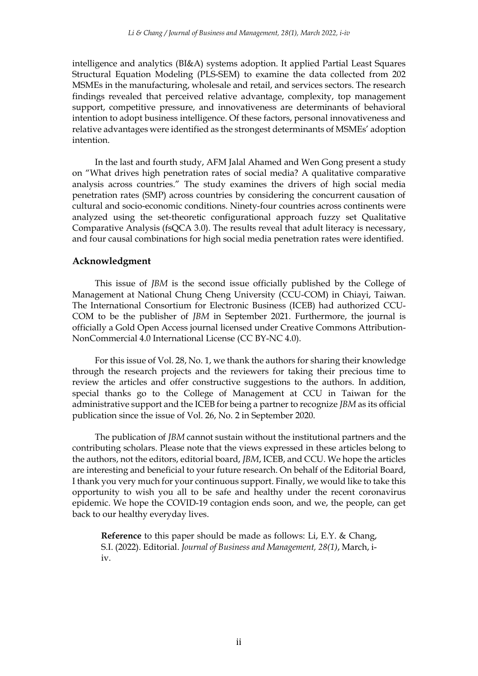intelligence and analytics (BI&A) systems adoption. It applied Partial Least Squares Structural Equation Modeling (PLS-SEM) to examine the data collected from 202 MSMEs in the manufacturing, wholesale and retail, and services sectors. The research findings revealed that perceived relative advantage, complexity, top management support, competitive pressure, and innovativeness are determinants of behavioral intention to adopt business intelligence. Of these factors, personal innovativeness and relative advantages were identified as the strongest determinants of MSMEs' adoption intention.

In the last and fourth study, AFM Jalal Ahamed and Wen Gong present a study on "What drives high penetration rates of social media? A qualitative comparative analysis across countries." The study examines the drivers of high social media penetration rates (SMP) across countries by considering the concurrent causation of cultural and socio-economic conditions. Ninety-four countries across continents were analyzed using the set-theoretic configurational approach fuzzy set Qualitative Comparative Analysis (fsQCA 3.0). The results reveal that adult literacy is necessary, and four causal combinations for high social media penetration rates were identified.

#### **Acknowledgment**

This issue of *JBM* is the second issue officially published by the College of Management at National Chung Cheng University (CCU-COM) in Chiayi, Taiwan. The International Consortium for Electronic Business (ICEB) had authorized CCU-COM to be the publisher of *JBM* in September 2021. Furthermore, the journal is officially a Gold Open Access journal licensed under Creative Commons Attribution-NonCommercial 4.0 International License (CC BY-NC 4.0).

For this issue of Vol. 28, No. 1, we thank the authors for sharing their knowledge through the research projects and the reviewers for taking their precious time to review the articles and offer constructive suggestions to the authors. In addition, special thanks go to the College of Management at CCU in Taiwan for the administrative support and the ICEB for being a partner to recognize *JBM* as its official publication since the issue of Vol. 26, No. 2 in September 2020.

The publication of *JBM* cannot sustain without the institutional partners and the contributing scholars. Please note that the views expressed in these articles belong to the authors, not the editors, editorial board, *JBM*, ICEB, and CCU. We hope the articles are interesting and beneficial to your future research. On behalf of the Editorial Board, I thank you very much for your continuous support. Finally, we would like to take this opportunity to wish you all to be safe and healthy under the recent coronavirus epidemic. We hope the COVID-19 contagion ends soon, and we, the people, can get back to our healthy everyday lives.

**Reference** to this paper should be made as follows: Li, E.Y. & Chang, S.I. (2022). Editorial. *Journal of Business and Management, 28(1)*, March, iiv.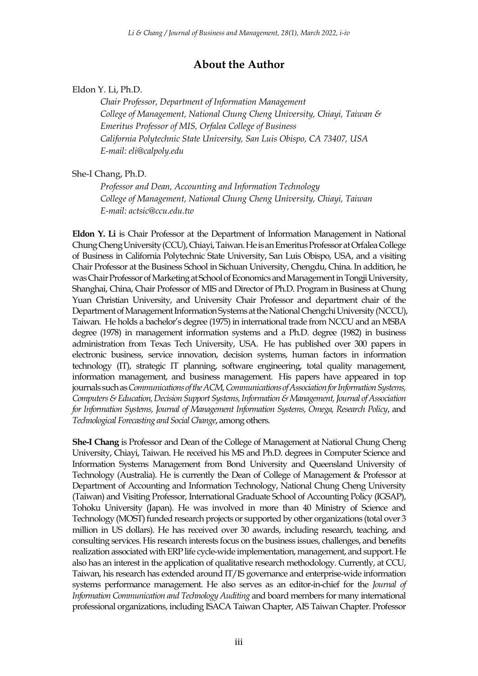## **About the Author**

### Eldon Y. Li, Ph.D.

*Chair Professor, Department of Information Management College of Management, National Chung Cheng University, Chiayi, Taiwan & Emeritus Professor of MIS, Orfalea College of Business California Polytechnic State University, San Luis Obispo, CA 73407, USA E-mail: eli@calpoly.edu*

She-I Chang, Ph.D.

*Professor and Dean, Accounting and Information Technology College of Management, National Chung Cheng University, Chiayi, Taiwan E-mail: actsic@ccu.edu.tw*

**Eldon Y. Li** is Chair Professor at the Department of Information Management in National Chung Cheng University (CCU), Chiayi, Taiwan. He is an Emeritus Professor at Orfalea College of Business in California Polytechnic State University, San Luis Obispo, USA, and a visiting Chair Professor at the Business School in Sichuan University, Chengdu, China. In addition, he was Chair Professor of Marketing at School of Economics and Management in Tongji University, Shanghai, China, Chair Professor of MIS and Director of Ph.D. Program in Business at Chung Yuan Christian University, and University Chair Professor and department chair of the Department of Management Information Systems at the National Chengchi University (NCCU), Taiwan. He holds a bachelor's degree (1975) in international trade from NCCU and an MSBA degree (1978) in management information systems and a Ph.D. degree (1982) in business administration from Texas Tech University, USA. He has published over 300 papers in electronic business, service innovation, decision systems, human factors in information technology (IT), strategic IT planning, software engineering, total quality management, information management, and business management. His papers have appeared in top journals such as *Communications of the ACM, Communications of Association for Information Systems, Computers & Education, Decision Support Systems, Information & Management, Journal of Association for Information Systems, Journal of Management Information Systems, Omega, Research Policy*, and *Technological Forecasting and Social Change*, among others.

**She-I Chang** is Professor and Dean of the College of Management at National Chung Cheng University, Chiayi, Taiwan. He received his MS and Ph.D. degrees in Computer Science and Information Systems Management from Bond University and Queensland University of Technology (Australia). He is currently the Dean of College of Management & Professor at Department of Accounting and Information Technology, National Chung Cheng University (Taiwan) and Visiting Professor, International Graduate School of Accounting Policy (IGSAP), Tohoku University (Japan). He was involved in more than 40 Ministry of Science and Technology (MOST) funded research projects or supported by other organizations (total over 3 million in US dollars). He has received over 30 awards, including research, teaching, and consulting services. His research interests focus on the business issues, challenges, and benefits realization associated with ERP life cycle-wide implementation, management, and support. He also has an interest in the application of qualitative research methodology. Currently, at CCU, Taiwan, his research has extended around IT/IS governance and enterprise-wide information systems performance management. He also serves as an editor-in-chief for the *Journal of Information Communication and Technology Auditing* and board members for many international professional organizations, including ISACA Taiwan Chapter, AIS Taiwan Chapter. Professor